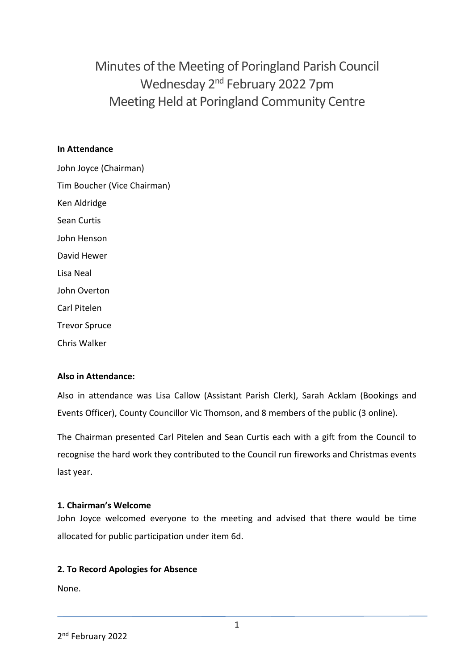Minutes of the Meeting of Poringland Parish Council Wednesday 2<sup>nd</sup> February 2022 7pm Meeting Held at Poringland Community Centre

### **In Attendance**

John Joyce (Chairman) Tim Boucher (Vice Chairman) Ken Aldridge Sean Curtis John Henson David Hewer Lisa Neal John Overton Carl Pitelen Trevor Spruce Chris Walker

## **Also in Attendance:**

Also in attendance was Lisa Callow (Assistant Parish Clerk), Sarah Acklam (Bookings and Events Officer), County Councillor Vic Thomson, and 8 members of the public (3 online).

The Chairman presented Carl Pitelen and Sean Curtis each with a gift from the Council to recognise the hard work they contributed to the Council run fireworks and Christmas events last year.

#### **1. Chairman's Welcome**

John Joyce welcomed everyone to the meeting and advised that there would be time allocated for public participation under item 6d.

## **2. To Record Apologies for Absence**

None.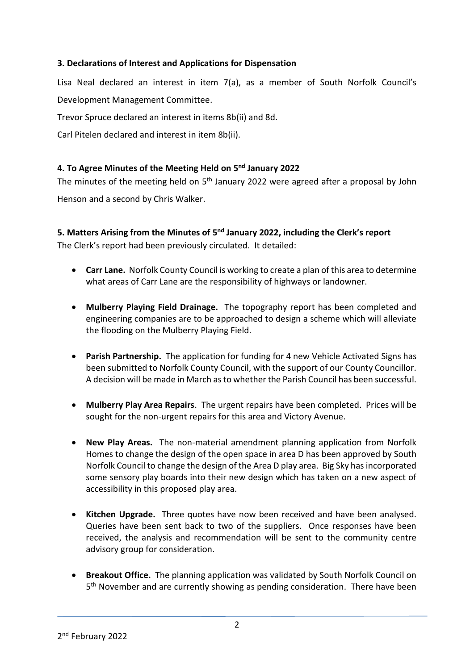# **3. Declarations of Interest and Applications for Dispensation**

Lisa Neal declared an interest in item 7(a), as a member of South Norfolk Council's Development Management Committee.

Trevor Spruce declared an interest in items 8b(ii) and 8d.

Carl Pitelen declared and interest in item 8b(ii).

# **4. To Agree Minutes of the Meeting Held on 5 nd January 2022**

The minutes of the meeting held on 5<sup>th</sup> January 2022 were agreed after a proposal by John Henson and a second by Chris Walker.

# **5. Matters Arising from the Minutes of 5<sup>nd</sup> January 2022, including the Clerk's report**

The Clerk's report had been previously circulated. It detailed:

- **Carr Lane.** Norfolk County Council is working to create a plan of this area to determine what areas of Carr Lane are the responsibility of highways or landowner.
- **Mulberry Playing Field Drainage.** The topography report has been completed and engineering companies are to be approached to design a scheme which will alleviate the flooding on the Mulberry Playing Field.
- **Parish Partnership.** The application for funding for 4 new Vehicle Activated Signs has been submitted to Norfolk County Council, with the support of our County Councillor. A decision will be made in March as to whether the Parish Council has been successful.
- **Mulberry Play Area Repairs**. The urgent repairs have been completed. Prices will be sought for the non-urgent repairs for this area and Victory Avenue.
- **New Play Areas.** The non-material amendment planning application from Norfolk Homes to change the design of the open space in area D has been approved by South Norfolk Council to change the design of the Area D play area. Big Sky has incorporated some sensory play boards into their new design which has taken on a new aspect of accessibility in this proposed play area.
- **Kitchen Upgrade.** Three quotes have now been received and have been analysed. Queries have been sent back to two of the suppliers. Once responses have been received, the analysis and recommendation will be sent to the community centre advisory group for consideration.
- **Breakout Office.** The planning application was validated by South Norfolk Council on 5<sup>th</sup> November and are currently showing as pending consideration. There have been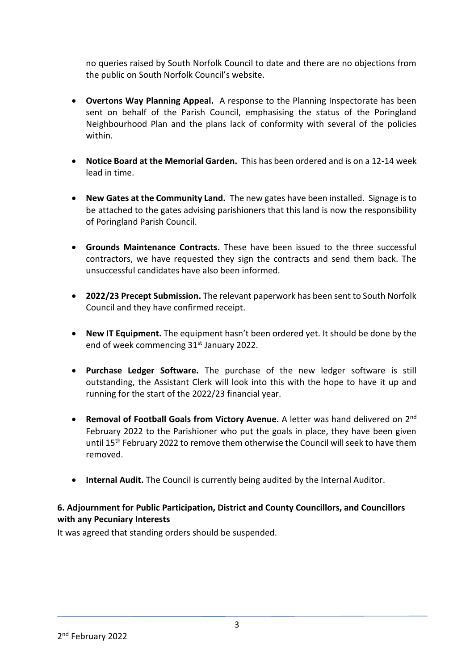no queries raised by South Norfolk Council to date and there are no objections from the public on South Norfolk Council's website.

- **Overtons Way Planning Appeal.** A response to the Planning Inspectorate has been sent on behalf of the Parish Council, emphasising the status of the Poringland Neighbourhood Plan and the plans lack of conformity with several of the policies within.
- **Notice Board at the Memorial Garden.** This has been ordered and is on a 12-14 week lead in time.
- **New Gates at the Community Land.** The new gates have been installed. Signage is to be attached to the gates advising parishioners that this land is now the responsibility of Poringland Parish Council.
- **Grounds Maintenance Contracts.** These have been issued to the three successful contractors, we have requested they sign the contracts and send them back. The unsuccessful candidates have also been informed.
- **2022/23 Precept Submission.** The relevant paperwork has been sent to South Norfolk Council and they have confirmed receipt.
- **New IT Equipment.** The equipment hasn't been ordered yet. It should be done by the end of week commencing 31st January 2022.
- **Purchase Ledger Software.** The purchase of the new ledger software is still outstanding, the Assistant Clerk will look into this with the hope to have it up and running for the start of the 2022/23 financial year.
- **Removal of Football Goals from Victory Avenue.** A letter was hand delivered on 2<sup>nd</sup> February 2022 to the Parishioner who put the goals in place, they have been given until 15<sup>th</sup> February 2022 to remove them otherwise the Council will seek to have them removed.
- **Internal Audit.** The Council is currently being audited by the Internal Auditor.

# **6. Adjournment for Public Participation, District and County Councillors, and Councillors with any Pecuniary Interests**

It was agreed that standing orders should be suspended.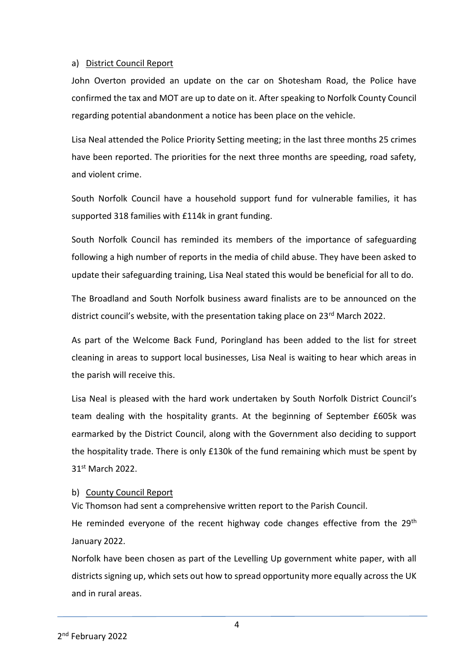#### a) District Council Report

John Overton provided an update on the car on Shotesham Road, the Police have confirmed the tax and MOT are up to date on it. After speaking to Norfolk County Council regarding potential abandonment a notice has been place on the vehicle.

Lisa Neal attended the Police Priority Setting meeting; in the last three months 25 crimes have been reported. The priorities for the next three months are speeding, road safety, and violent crime.

South Norfolk Council have a household support fund for vulnerable families, it has supported 318 families with £114k in grant funding.

South Norfolk Council has reminded its members of the importance of safeguarding following a high number of reports in the media of child abuse. They have been asked to update their safeguarding training, Lisa Neal stated this would be beneficial for all to do.

The Broadland and South Norfolk business award finalists are to be announced on the district council's website, with the presentation taking place on 23<sup>rd</sup> March 2022.

As part of the Welcome Back Fund, Poringland has been added to the list for street cleaning in areas to support local businesses, Lisa Neal is waiting to hear which areas in the parish will receive this.

Lisa Neal is pleased with the hard work undertaken by South Norfolk District Council's team dealing with the hospitality grants. At the beginning of September £605k was earmarked by the District Council, along with the Government also deciding to support the hospitality trade. There is only £130k of the fund remaining which must be spent by 31st March 2022.

## b) County Council Report

Vic Thomson had sent a comprehensive written report to the Parish Council.

He reminded everyone of the recent highway code changes effective from the  $29<sup>th</sup>$ January 2022.

Norfolk have been chosen as part of the Levelling Up government white paper, with all districts signing up, which sets out how to spread opportunity more equally across the UK and in rural areas.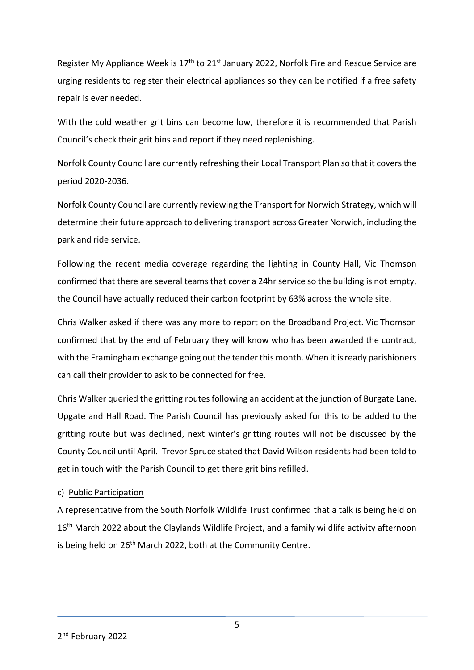Register My Appliance Week is 17<sup>th</sup> to 21<sup>st</sup> January 2022, Norfolk Fire and Rescue Service are urging residents to register their electrical appliances so they can be notified if a free safety repair is ever needed.

With the cold weather grit bins can become low, therefore it is recommended that Parish Council's check their grit bins and report if they need replenishing.

Norfolk County Council are currently refreshing their Local Transport Plan so that it covers the period 2020-2036.

Norfolk County Council are currently reviewing the Transport for Norwich Strategy, which will determine their future approach to delivering transport across Greater Norwich, including the park and ride service.

Following the recent media coverage regarding the lighting in County Hall, Vic Thomson confirmed that there are several teams that cover a 24hr service so the building is not empty, the Council have actually reduced their carbon footprint by 63% across the whole site.

Chris Walker asked if there was any more to report on the Broadband Project. Vic Thomson confirmed that by the end of February they will know who has been awarded the contract, with the Framingham exchange going out the tender this month. When it is ready parishioners can call their provider to ask to be connected for free.

Chris Walker queried the gritting routes following an accident at the junction of Burgate Lane, Upgate and Hall Road. The Parish Council has previously asked for this to be added to the gritting route but was declined, next winter's gritting routes will not be discussed by the County Council until April. Trevor Spruce stated that David Wilson residents had been told to get in touch with the Parish Council to get there grit bins refilled.

## c) Public Participation

A representative from the South Norfolk Wildlife Trust confirmed that a talk is being held on 16<sup>th</sup> March 2022 about the Claylands Wildlife Project, and a family wildlife activity afternoon is being held on 26<sup>th</sup> March 2022, both at the Community Centre.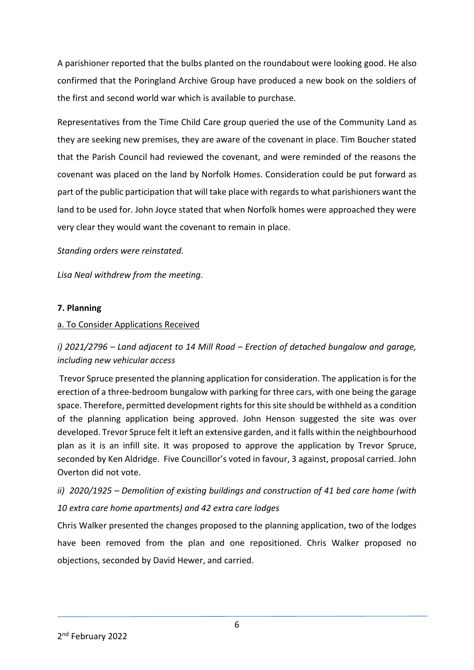A parishioner reported that the bulbs planted on the roundabout were looking good. He also confirmed that the Poringland Archive Group have produced a new book on the soldiers of the first and second world war which is available to purchase.

Representatives from the Time Child Care group queried the use of the Community Land as they are seeking new premises, they are aware of the covenant in place. Tim Boucher stated that the Parish Council had reviewed the covenant, and were reminded of the reasons the covenant was placed on the land by Norfolk Homes. Consideration could be put forward as part of the public participation that will take place with regards to what parishioners want the land to be used for. John Joyce stated that when Norfolk homes were approached they were very clear they would want the covenant to remain in place.

*Standing orders were reinstated.* 

*Lisa Neal withdrew from the meeting.* 

## **7. Planning**

## a. To Consider Applications Received

# *i)* 2021/2796 – Land adjacent to 14 Mill Road – Erection of detached bungalow and garage, *including new vehicular access*

Trevor Spruce presented the planning application for consideration. The application is for the erection of a three-bedroom bungalow with parking for three cars, with one being the garage space. Therefore, permitted development rights for this site should be withheld as a condition of the planning application being approved. John Henson suggested the site was over developed. Trevor Spruce felt it left an extensive garden, and it falls within the neighbourhood plan as it is an infill site. It was proposed to approve the application by Trevor Spruce, seconded by Ken Aldridge. Five Councillor's voted in favour, 3 against, proposal carried. John Overton did not vote.

# *ii) 2020/1925 – Demolition of existing buildings and construction of 41 bed care home (with 10 extra care home apartments) and 42 extra care lodges*

Chris Walker presented the changes proposed to the planning application, two of the lodges have been removed from the plan and one repositioned. Chris Walker proposed no objections, seconded by David Hewer, and carried.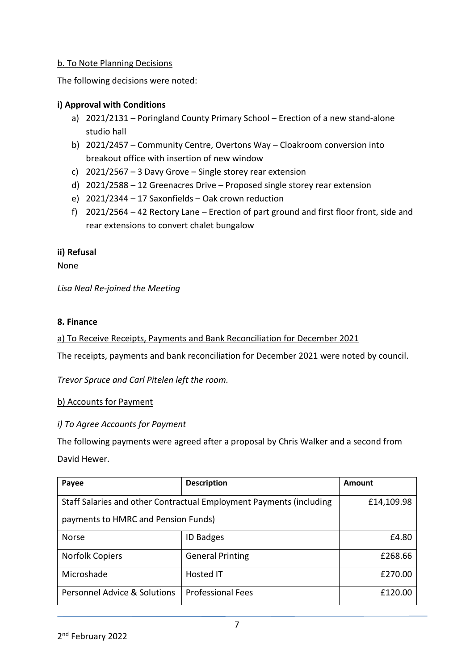# b. To Note Planning Decisions

The following decisions were noted:

# **i) Approval with Conditions**

- a) 2021/2131 Poringland County Primary School Erection of a new stand-alone studio hall
- b) 2021/2457 Community Centre, Overtons Way Cloakroom conversion into breakout office with insertion of new window
- c) 2021/2567 3 Davy Grove Single storey rear extension
- d) 2021/2588 12 Greenacres Drive Proposed single storey rear extension
- e) 2021/2344 17 Saxonfields Oak crown reduction
- f) 2021/2564 42 Rectory Lane Erection of part ground and first floor front, side and rear extensions to convert chalet bungalow

## **ii) Refusal**

None

*Lisa Neal Re-joined the Meeting*

#### **8. Finance**

a) To Receive Receipts, Payments and Bank Reconciliation for December 2021

The receipts, payments and bank reconciliation for December 2021 were noted by council.

*Trevor Spruce and Carl Pitelen left the room.*

#### b) Accounts for Payment

#### *i) To Agree Accounts for Payment*

The following payments were agreed after a proposal by Chris Walker and a second from David Hewer.

| Payee                                                               | <b>Description</b>       | Amount     |
|---------------------------------------------------------------------|--------------------------|------------|
| Staff Salaries and other Contractual Employment Payments (including |                          | £14,109.98 |
| payments to HMRC and Pension Funds)                                 |                          |            |
| <b>Norse</b>                                                        | <b>ID Badges</b>         | £4.80      |
| <b>Norfolk Copiers</b>                                              | <b>General Printing</b>  | £268.66    |
| Microshade                                                          | Hosted IT                | £270.00    |
| Personnel Advice & Solutions                                        | <b>Professional Fees</b> | £120.00    |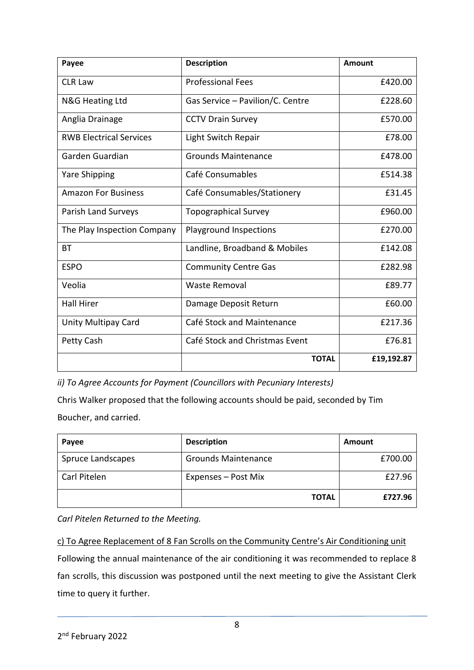| Payee                          | <b>Description</b>               | <b>Amount</b> |
|--------------------------------|----------------------------------|---------------|
| <b>CLR Law</b>                 | <b>Professional Fees</b>         | £420.00       |
| <b>N&amp;G Heating Ltd</b>     | Gas Service - Pavilion/C. Centre | £228.60       |
| Anglia Drainage                | <b>CCTV Drain Survey</b>         | £570.00       |
| <b>RWB Electrical Services</b> | Light Switch Repair              | £78.00        |
| Garden Guardian                | <b>Grounds Maintenance</b>       | £478.00       |
| <b>Yare Shipping</b>           | Café Consumables                 | £514.38       |
| <b>Amazon For Business</b>     | Café Consumables/Stationery      | £31.45        |
| Parish Land Surveys            | <b>Topographical Survey</b>      | £960.00       |
| The Play Inspection Company    | Playground Inspections           | £270.00       |
| <b>BT</b>                      | Landline, Broadband & Mobiles    | £142.08       |
| <b>ESPO</b>                    | <b>Community Centre Gas</b>      | £282.98       |
| Veolia                         | <b>Waste Removal</b>             | £89.77        |
| <b>Hall Hirer</b>              | Damage Deposit Return            | £60.00        |
| Unity Multipay Card            | Café Stock and Maintenance       | £217.36       |
| Petty Cash                     | Café Stock and Christmas Event   | £76.81        |
|                                | <b>TOTAL</b>                     | £19,192.87    |

*ii) To Agree Accounts for Payment (Councillors with Pecuniary Interests)*

Chris Walker proposed that the following accounts should be paid, seconded by Tim Boucher, and carried.

| Payee             | <b>Description</b>         | Amount  |
|-------------------|----------------------------|---------|
| Spruce Landscapes | <b>Grounds Maintenance</b> | £700.00 |
| Carl Pitelen      | Expenses – Post Mix        | £27.96  |
|                   | <b>TOTAL</b>               | £727.96 |

*Carl Pitelen Returned to the Meeting.*

c) To Agree Replacement of 8 Fan Scrolls on the Community Centre's Air Conditioning unit Following the annual maintenance of the air conditioning it was recommended to replace 8 fan scrolls, this discussion was postponed until the next meeting to give the Assistant Clerk time to query it further.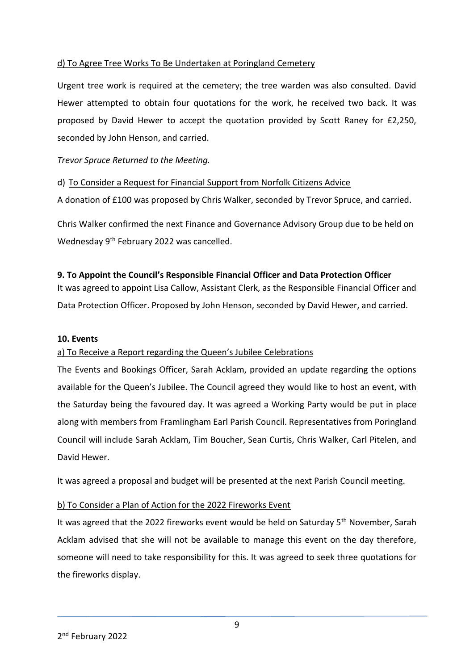# d) To Agree Tree Works To Be Undertaken at Poringland Cemetery

Urgent tree work is required at the cemetery; the tree warden was also consulted. David Hewer attempted to obtain four quotations for the work, he received two back. It was proposed by David Hewer to accept the quotation provided by Scott Raney for £2,250, seconded by John Henson, and carried.

*Trevor Spruce Returned to the Meeting.*

d) To Consider a Request for Financial Support from Norfolk Citizens Advice

A donation of £100 was proposed by Chris Walker, seconded by Trevor Spruce, and carried.

Chris Walker confirmed the next Finance and Governance Advisory Group due to be held on Wednesday 9<sup>th</sup> February 2022 was cancelled.

## **9. To Appoint the Council's Responsible Financial Officer and Data Protection Officer**

It was agreed to appoint Lisa Callow, Assistant Clerk, as the Responsible Financial Officer and Data Protection Officer. Proposed by John Henson, seconded by David Hewer, and carried.

#### **10. Events**

## a) To Receive a Report regarding the Queen's Jubilee Celebrations

The Events and Bookings Officer, Sarah Acklam, provided an update regarding the options available for the Queen's Jubilee. The Council agreed they would like to host an event, with the Saturday being the favoured day. It was agreed a Working Party would be put in place along with members from Framlingham Earl Parish Council. Representatives from Poringland Council will include Sarah Acklam, Tim Boucher, Sean Curtis, Chris Walker, Carl Pitelen, and David Hewer.

It was agreed a proposal and budget will be presented at the next Parish Council meeting.

## b) To Consider a Plan of Action for the 2022 Fireworks Event

It was agreed that the 2022 fireworks event would be held on Saturday 5<sup>th</sup> November, Sarah Acklam advised that she will not be available to manage this event on the day therefore, someone will need to take responsibility for this. It was agreed to seek three quotations for the fireworks display.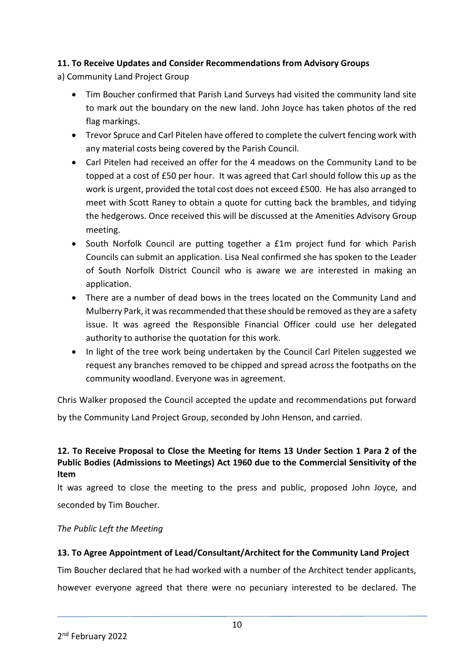# **11. To Receive Updates and Consider Recommendations from Advisory Groups**

a) Community Land Project Group

- Tim Boucher confirmed that Parish Land Surveys had visited the community land site to mark out the boundary on the new land. John Joyce has taken photos of the red flag markings.
- Trevor Spruce and Carl Pitelen have offered to complete the culvert fencing work with any material costs being covered by the Parish Council.
- Carl Pitelen had received an offer for the 4 meadows on the Community Land to be topped at a cost of £50 per hour. It was agreed that Carl should follow this up as the work is urgent, provided the total cost does not exceed £500. He has also arranged to meet with Scott Raney to obtain a quote for cutting back the brambles, and tidying the hedgerows. Once received this will be discussed at the Amenities Advisory Group meeting.
- South Norfolk Council are putting together a £1m project fund for which Parish Councils can submit an application. Lisa Neal confirmed she has spoken to the Leader of South Norfolk District Council who is aware we are interested in making an application.
- There are a number of dead bows in the trees located on the Community Land and Mulberry Park, it was recommended that these should be removed as they are a safety issue. It was agreed the Responsible Financial Officer could use her delegated authority to authorise the quotation for this work.
- In light of the tree work being undertaken by the Council Carl Pitelen suggested we request any branches removed to be chipped and spread across the footpaths on the community woodland. Everyone was in agreement.

Chris Walker proposed the Council accepted the update and recommendations put forward by the Community Land Project Group, seconded by John Henson, and carried.

# **12. To Receive Proposal to Close the Meeting for Items 13 Under Section 1 Para 2 of the Public Bodies (Admissions to Meetings) Act 1960 due to the Commercial Sensitivity of the Item**

It was agreed to close the meeting to the press and public, proposed John Joyce, and seconded by Tim Boucher.

## *The Public Left the Meeting*

# **13. To Agree Appointment of Lead/Consultant/Architect for the Community Land Project**

Tim Boucher declared that he had worked with a number of the Architect tender applicants, however everyone agreed that there were no pecuniary interested to be declared. The